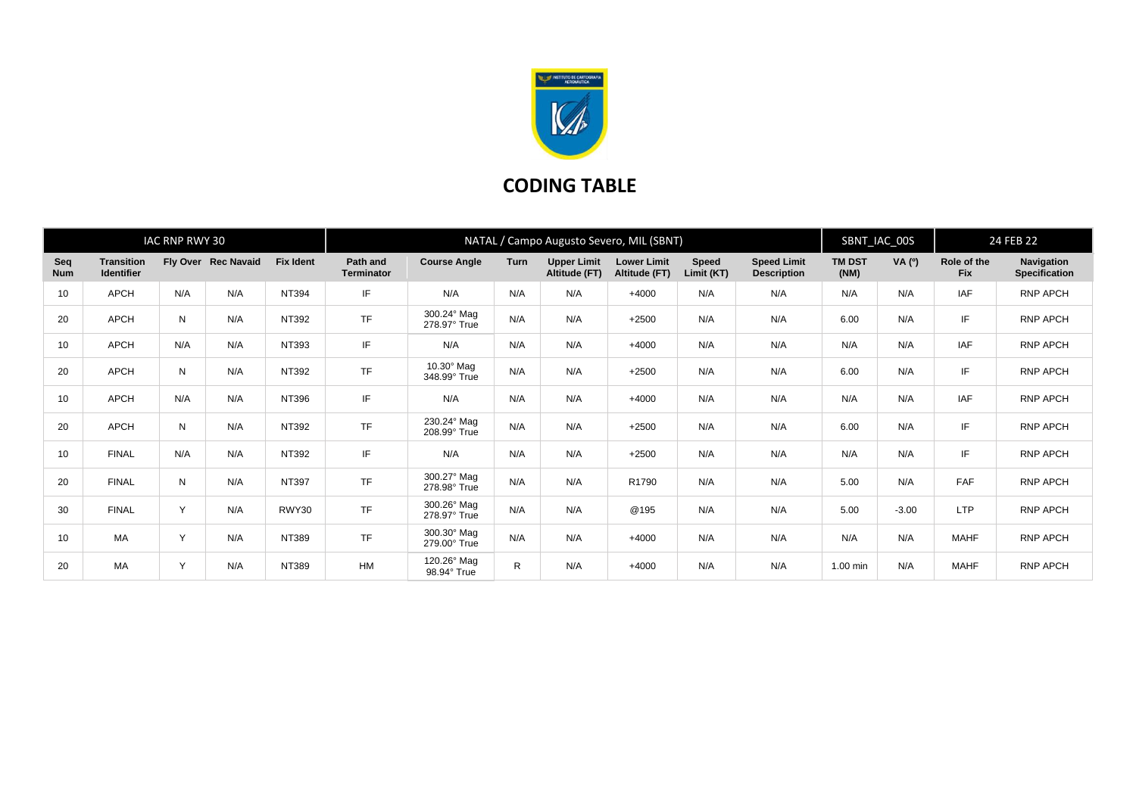

## **CODING TABLE**

| IAC RNP RWY 30    |                                        |     |                     |                  | NATAL / Campo Augusto Severo, MIL (SBNT) |                                   |             |                                     |                                     |                     |                                          |                       | SBNT_IAC_00S |                           | 24 FEB 22                          |  |
|-------------------|----------------------------------------|-----|---------------------|------------------|------------------------------------------|-----------------------------------|-------------|-------------------------------------|-------------------------------------|---------------------|------------------------------------------|-----------------------|--------------|---------------------------|------------------------------------|--|
| Seq<br><b>Num</b> | <b>Transition</b><br><b>Identifier</b> |     | Fly Over Rec Navaid | <b>Fix Ident</b> | Path and<br><b>Terminator</b>            | <b>Course Angle</b>               | <b>Turn</b> | <b>Upper Limit</b><br>Altitude (FT) | <b>Lower Limit</b><br>Altitude (FT) | Speed<br>Limit (KT) | <b>Speed Limit</b><br><b>Description</b> | <b>TM DST</b><br>(NM) | VA (0)       | Role of the<br><b>Fix</b> | Navigation<br><b>Specification</b> |  |
| 10                | <b>APCH</b>                            | N/A | N/A                 | NT394            | IF.                                      | N/A                               | N/A         | N/A                                 | $+4000$                             | N/A                 | N/A                                      | N/A                   | N/A          | <b>IAF</b>                | RNP APCH                           |  |
| 20                | <b>APCH</b>                            | N   | N/A                 | NT392            | <b>TF</b>                                | 300.24° Mag<br>278.97° True       | N/A         | N/A                                 | $+2500$                             | N/A                 | N/A                                      | 6.00                  | N/A          | IF                        | RNP APCH                           |  |
| 10                | <b>APCH</b>                            | N/A | N/A                 | NT393            | IF.                                      | N/A                               | N/A         | N/A                                 | $+4000$                             | N/A                 | N/A                                      | N/A                   | N/A          | <b>IAF</b>                | RNP APCH                           |  |
| 20                | <b>APCH</b>                            | N   | N/A                 | NT392            | <b>TF</b>                                | $10.30^\circ$ Mag<br>348.99° True | N/A         | N/A                                 | $+2500$                             | N/A                 | N/A                                      | 6.00                  | N/A          | IF                        | RNP APCH                           |  |
| 10                | <b>APCH</b>                            | N/A | N/A                 | NT396            | IF                                       | N/A                               | N/A         | N/A                                 | $+4000$                             | N/A                 | N/A                                      | N/A                   | N/A          | IAF                       | RNP APCH                           |  |
| 20                | <b>APCH</b>                            | N   | N/A                 | NT392            | <b>TF</b>                                | 230.24° Mag<br>208.99° True       | N/A         | N/A                                 | $+2500$                             | N/A                 | N/A                                      | 6.00                  | N/A          | IF                        | RNP APCH                           |  |
| 10                | <b>FINAL</b>                           | N/A | N/A                 | NT392            | IF.                                      | N/A                               | N/A         | N/A                                 | $+2500$                             | N/A                 | N/A                                      | N/A                   | N/A          | IF                        | RNP APCH                           |  |
| 20                | <b>FINAL</b>                           | N   | N/A                 | NT397            | <b>TF</b>                                | 300.27° Mag<br>278.98° True       | N/A         | N/A                                 | R1790                               | N/A                 | N/A                                      | 5.00                  | N/A          | FAF                       | RNP APCH                           |  |
| 30                | <b>FINAL</b>                           | Y   | N/A                 | RWY30            | <b>TF</b>                                | 300.26° Mag<br>278.97° True       | N/A         | N/A                                 | @195                                | N/A                 | N/A                                      | 5.00                  | $-3.00$      | <b>LTP</b>                | RNP APCH                           |  |
| 10                | MA                                     | Y   | N/A                 | NT389            | <b>TF</b>                                | 300.30° Mag<br>279.00° True       | N/A         | N/A                                 | $+4000$                             | N/A                 | N/A                                      | N/A                   | N/A          | <b>MAHF</b>               | RNP APCH                           |  |
| 20                | MA                                     | Y   | N/A                 | NT389            | <b>HM</b>                                | 120.26° Mag<br>98.94° True        | R           | N/A                                 | $+4000$                             | N/A                 | N/A                                      | 1.00 min              | N/A          | <b>MAHF</b>               | <b>RNP APCH</b>                    |  |